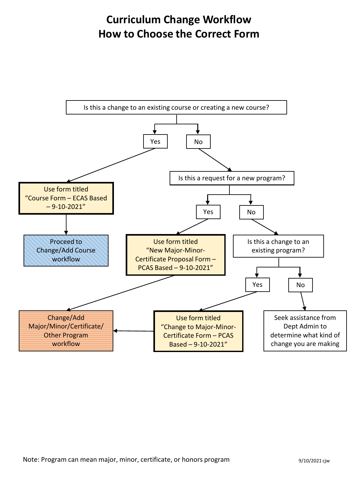## **Curriculum Change Workflow How to Choose the Correct Form**

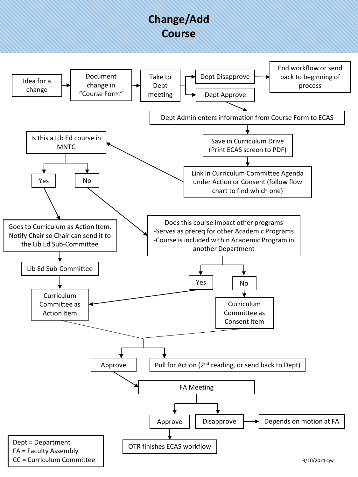## **Change/Add Course**